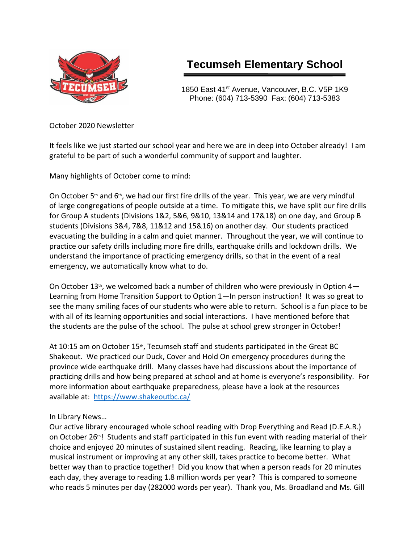

## **Tecumseh Elementary School**

1850 East 41<sup>st</sup> Avenue, Vancouver, B.C. V5P 1K9 Phone: (604) 713-5390 Fax: (604) 713-5383

October 2020 Newsletter

It feels like we just started our school year and here we are in deep into October already! I am grateful to be part of such a wonderful community of support and laughter.

Many highlights of October come to mind:

On October  $5<sup>th</sup>$  and  $6<sup>th</sup>$ , we had our first fire drills of the year. This year, we are very mindful of large congregations of people outside at a time. To mitigate this, we have split our fire drills for Group A students (Divisions 1&2, 5&6, 9&10, 13&14 and 17&18) on one day, and Group B students (Divisions 3&4, 7&8, 11&12 and 15&16) on another day. Our students practiced evacuating the building in a calm and quiet manner. Throughout the year, we will continue to practice our safety drills including more fire drills, earthquake drills and lockdown drills. We understand the importance of practicing emergency drills, so that in the event of a real emergency, we automatically know what to do.

On October 13<sup>th</sup>, we welcomed back a number of children who were previously in Option 4-Learning from Home Transition Support to Option 1—In person instruction! It was so great to see the many smiling faces of our students who were able to return. School is a fun place to be with all of its learning opportunities and social interactions. I have mentioned before that the students are the pulse of the school. The pulse at school grew stronger in October!

At 10:15 am on October 15<sup>th</sup>, Tecumseh staff and students participated in the Great BC Shakeout. We practiced our Duck, Cover and Hold On emergency procedures during the province wide earthquake drill. Many classes have had discussions about the importance of practicing drills and how being prepared at school and at home is everyone's responsibility. For more information about earthquake preparedness, please have a look at the resources available at: <https://www.shakeoutbc.ca/>

In Library News…

Our active library encouraged whole school reading with Drop Everything and Read (D.E.A.R.) on October 26<sup>th</sup>! Students and staff participated in this fun event with reading material of their choice and enjoyed 20 minutes of sustained silent reading. Reading, like learning to play a musical instrument or improving at any other skill, takes practice to become better. What better way than to practice together! Did you know that when a person reads for 20 minutes each day, they average to reading 1.8 million words per year? This is compared to someone who reads 5 minutes per day (282000 words per year). Thank you, Ms. Broadland and Ms. Gill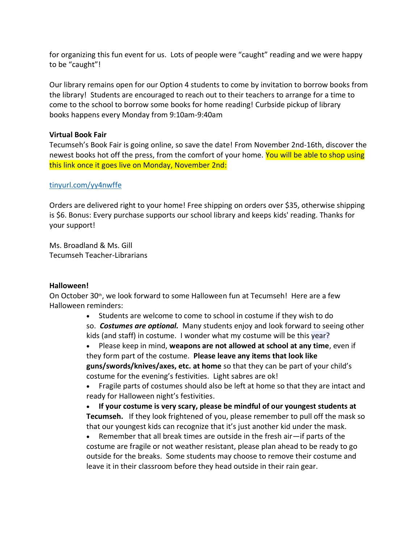for organizing this fun event for us. Lots of people were "caught" reading and we were happy to be "caught"!

Our library remains open for our Option 4 students to come by invitation to borrow books from the library! Students are encouraged to reach out to their teachers to arrange for a time to come to the school to borrow some books for home reading! Curbside pickup of library books happens every Monday from 9:10am-9:40am

## **Virtual Book Fair**

Tecumseh's Book Fair is going online, so save the date! From November 2nd-16th, discover the newest books hot off the press, from the comfort of your home. You will be able to shop using this link once it goes live on Monday, November 2nd:

## [tinyurl.com/yy4nwffe](http://tinyurl.com/yy4nwffe)

Orders are delivered right to your home! Free shipping on orders over \$35, otherwise shipping is \$6. Bonus: Every purchase supports our school library and keeps kids' reading. Thanks for your support!

Ms. Broadland & Ms. Gill Tecumseh Teacher-Librarians

## **Halloween!**

On October 30<sup>th</sup>, we look forward to some Halloween fun at Tecumseh! Here are a few Halloween reminders:

• Students are welcome to come to school in costume if they wish to do

so. *Costumes are optional.* Many students enjoy and look forward to seeing other kids (and staff) in costume. I wonder what my costume will be this year?

• Please keep in mind, **weapons are not allowed at school at any time**, even if they form part of the costume. **Please leave any items that look like guns/swords/knives/axes, etc. at home** so that they can be part of your child's costume for the evening's festivities. Light sabres are ok!

• Fragile parts of costumes should also be left at home so that they are intact and ready for Halloween night's festivities.

• **If your costume is very scary, please be mindful of our youngest students at Tecumseh.** If they look frightened of you, please remember to pull off the mask so that our youngest kids can recognize that it's just another kid under the mask.

• Remember that all break times are outside in the fresh air—if parts of the costume are fragile or not weather resistant, please plan ahead to be ready to go outside for the breaks. Some students may choose to remove their costume and leave it in their classroom before they head outside in their rain gear.